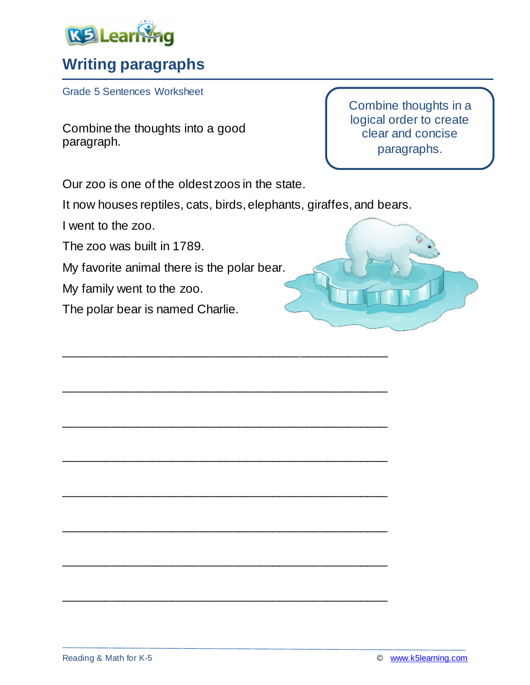

## **Writing paragraphs**

Grade 5 Sentences Worksheet

Combine the thoughts into a good paragraph.

Our zoo is one of the oldest zoos in the state.

It now houses reptiles, cats, birds, elephants, giraffes, and bears.

\_\_\_\_\_\_\_\_\_\_\_\_\_\_\_\_\_\_\_\_\_\_\_\_\_\_\_\_\_\_\_\_\_\_\_\_\_\_\_\_\_\_\_\_\_\_\_\_

\_\_\_\_\_\_\_\_\_\_\_\_\_\_\_\_\_\_\_\_\_\_\_\_\_\_\_\_\_\_\_\_\_\_\_\_\_\_\_\_\_\_\_\_\_\_\_\_

\_\_\_\_\_\_\_\_\_\_\_\_\_\_\_\_\_\_\_\_\_\_\_\_\_\_\_\_\_\_\_\_\_\_\_\_\_\_\_\_\_\_\_\_\_\_\_\_

\_\_\_\_\_\_\_\_\_\_\_\_\_\_\_\_\_\_\_\_\_\_\_\_\_\_\_\_\_\_\_\_\_\_\_\_\_\_\_\_\_\_\_\_\_\_\_\_

\_\_\_\_\_\_\_\_\_\_\_\_\_\_\_\_\_\_\_\_\_\_\_\_\_\_\_\_\_\_\_\_\_\_\_\_\_\_\_\_\_\_\_\_\_\_\_\_

\_\_\_\_\_\_\_\_\_\_\_\_\_\_\_\_\_\_\_\_\_\_\_\_\_\_\_\_\_\_\_\_\_\_\_\_\_\_\_\_\_\_\_\_\_\_\_\_

\_\_\_\_\_\_\_\_\_\_\_\_\_\_\_\_\_\_\_\_\_\_\_\_\_\_\_\_\_\_\_\_\_\_\_\_\_\_\_\_\_\_\_\_\_\_\_\_

\_\_\_\_\_\_\_\_\_\_\_\_\_\_\_\_\_\_\_\_\_\_\_\_\_\_\_\_\_\_\_\_\_\_\_\_\_\_\_\_\_\_\_\_\_\_\_\_

I went to the zoo.

The zoo was built in 1789.

My favorite animal there is the polar bear.

My family went to the zoo.

The polar bear is named Charlie.

Combine thoughts in a logical order to create clear and concise paragraphs.